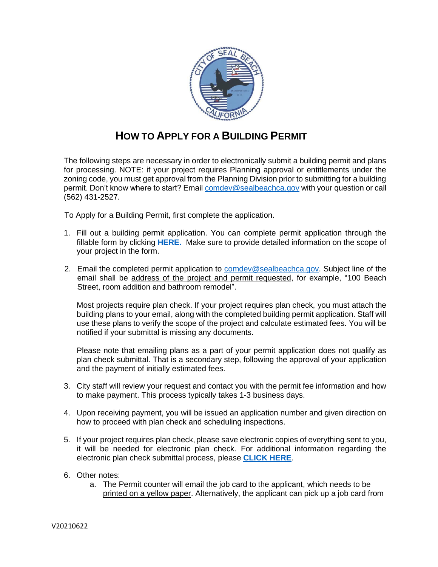

## **HOW TO APPLY FOR A BUILDING PERMIT**

The following steps are necessary in order to electronically submit a building permit and plans for processing. NOTE: if your project requires Planning approval or entitlements under the zoning code, you must get approval from the Planning Division prior to submitting for a building permit. Don't know where to start? Email [comdev@sealbeachca.gov](mailto:comdev@sealbeachca.gov) with your question or call (562) 431-2527.

To Apply for a Building Permit, first complete the application.

- 1. Fill out a building permit application. You can complete permit application through the fillable form by clicking **[HERE.](https://www.dropbox.com/sh/iceyv7n7xtzzawb/AAA_nRUHnO_EYtFkPff7epIpa?dl=0)** Make sure to provide detailed information on the scope of your project in the form.
- 2. Email the completed permit application to comdev@sealbeachca.gov. Subject line of the email shall be address of the project and permit requested, for example, "100 Beach Street, room addition and bathroom remodel".

Most projects require plan check. If your project requires plan check, you must attach the building plans to your email, along with the completed building permit application. Staff will use these plans to verify the scope of the project and calculate estimated fees. You will be notified if your submittal is missing any documents.

Please note that emailing plans as a part of your permit application does not qualify as plan check submittal. That is a secondary step, following the approval of your application and the payment of initially estimated fees.

- 3. City staff will review your request and contact you with the permit fee information and how to make payment. This process typically takes 1-3 business days.
- 4. Upon receiving payment, you will be issued an application number and given direction on how to proceed with plan check and scheduling inspections.
- 5. If your project requires plan check, please save electronic copies of everything sent to you, it will be needed for electronic plan check. For additional information regarding the electronic plan check submittal process, please **[CLICK HERE](https://www.sealbeachca.gov/Portals/0/Documents/FORM%20B-Getting%20Started%20for%20Electronic%20Plan%20Submittal-Seal%20Beach.pdf)**.
- 6. Other notes:
	- a. The Permit counter will email the job card to the applicant, which needs to be printed on a yellow paper. Alternatively, the applicant can pick up a job card from